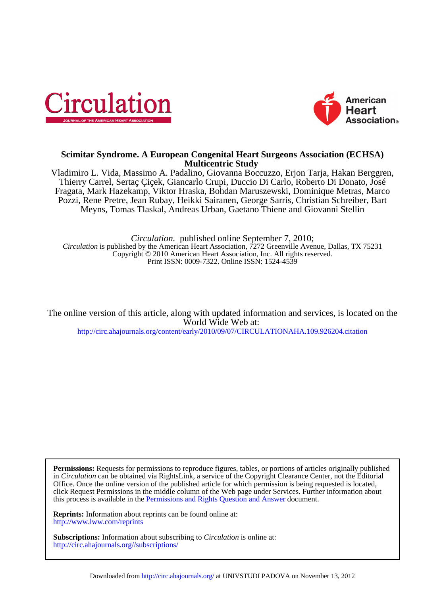



### **Multicentric Study Scimitar Syndrome. A European Congenital Heart Surgeons Association (ECHSA)**

Meyns, Tomas Tlaskal, Andreas Urban, Gaetano Thiene and Giovanni Stellin Pozzi, Rene Pretre, Jean Rubay, Heikki Sairanen, George Sarris, Christian Schreiber, Bart Fragata, Mark Hazekamp, Viktor Hraska, Bohdan Maruszewski, Dominique Metras, Marco Thierry Carrel, Sertaç Çiçek, Giancarlo Crupi, Duccio Di Carlo, Roberto Di Donato, José Vladimiro L. Vida, Massimo A. Padalino, Giovanna Boccuzzo, Erjon Tarja, Hakan Berggren,

Print ISSN: 0009-7322. Online ISSN: 1524-4539 Copyright © 2010 American Heart Association, Inc. All rights reserved. *Circulation* is published by the American Heart Association, 7272 Greenville Avenue, Dallas, TX 75231 *Circulation.* published online September 7, 2010;

World Wide Web at: The online version of this article, along with updated information and services, is located on the

<http://circ.ahajournals.org/content/early/2010/09/07/CIRCULATIONAHA.109.926204.citation>

this process is available in the [Permissions and Rights Question and Answer d](http://www.ahajournals.org/site/rights/)ocument. click Request Permissions in the middle column of the Web page under Services. Further information about Office. Once the online version of the published article for which permission is being requested is located, in *Circulation* can be obtained via RightsLink, a service of the Copyright Clearance Center, not the Editorial **Permissions:** Requests for permissions to reproduce figures, tables, or portions of articles originally published

<http://www.lww.com/reprints> **Reprints:** Information about reprints can be found online at:

<http://circ.ahajournals.org//subscriptions/> **Subscriptions:** Information about subscribing to *Circulation* is online at: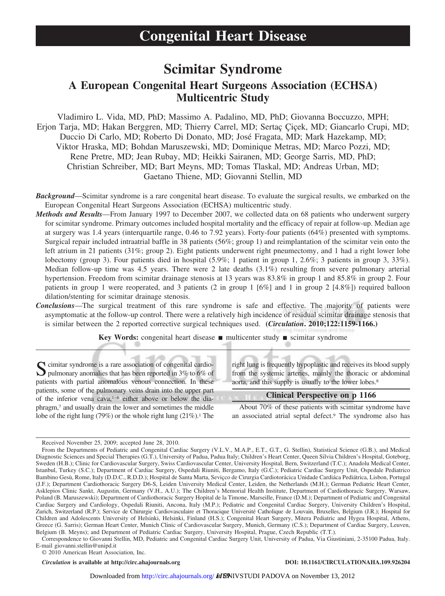# **Scimitar Syndrome**

## **A European Congenital Heart Surgeons Association (ECHSA) Multicentric Study**

Vladimiro L. Vida, MD, PhD; Massimo A. Padalino, MD, PhD; Giovanna Boccuzzo, MPH; Erjon Tarja, MD; Hakan Berggren, MD; Thierry Carrel, MD; Sertaç Çiçek, MD; Giancarlo Crupi, MD; Duccio Di Carlo, MD; Roberto Di Donato, MD; Jose´ Fragata, MD; Mark Hazekamp, MD; Viktor Hraska, MD; Bohdan Maruszewski, MD; Dominique Metras, MD; Marco Pozzi, MD; Rene Pretre, MD; Jean Rubay, MD; Heikki Sairanen, MD; George Sarris, MD, PhD; Christian Schreiber, MD; Bart Meyns, MD; Tomas Tlaskal, MD; Andreas Urban, MD; Gaetano Thiene, MD; Giovanni Stellin, MD

- *Background*—Scimitar syndrome is a rare congenital heart disease. To evaluate the surgical results, we embarked on the European Congenital Heart Surgeons Association (ECHSA) multicentric study.
- *Methods and Results*—From January 1997 to December 2007, we collected data on 68 patients who underwent surgery for scimitar syndrome. Primary outcomes included hospital mortality and the efficacy of repair at follow-up. Median age at surgery was 1.4 years (interquartile range, 0.46 to 7.92 years). Forty-four patients (64%) presented with symptoms. Surgical repair included intraatrial baffle in 38 patients (56%; group 1) and reimplantation of the scimitar vein onto the left atrium in 21 patients (31%; group 2). Eight patients underwent right pneumectomy, and 1 had a right lower lobe lobectomy (group 3). Four patients died in hospital (5.9%; 1 patient in group 1, 2.6%; 3 patients in group 3, 33%). Median follow-up time was 4.5 years. There were 2 late deaths (3.1%) resulting from severe pulmonary arterial hypertension. Freedom from scimitar drainage stenosis at 13 years was 83.8% in group 1 and 85.8% in group 2. Four patients in group 1 were reoperated, and 3 patients (2 in group 1 [6%] and 1 in group 2 [4.8%]) required balloon dilation/stenting for scimitar drainage stenosis.
- *Conclusions*—The surgical treatment of this rare syndrome is safe and effective. The majority of patients were asymptomatic at the follow-up control. There were a relatively high incidence of residual scimitar drainage stenosis that is similar between the 2 reported corrective surgical techniques used. **(***Circulation***. 2010;122:1159-1166.)**

**Key Words:** congenital heart disease **m**ulticenter study **n** scimitar syndrome

Solution contract that has been reported in 3% to 6% of<br>pulmonary anomalies that has been reported in 3% to 6% of patients with partial anomalous venous connection. In these patients, some of the pulmonary veins drain into the upper part of the inferior vena cava, $1-6$  either above or below the diaphragm,7 and usually drain the lower and sometimes the middle lobe of the right lung (79%) or the whole right lung (21%).<sup>1</sup> The right lung is frequently hypoplastic and receives its blood supply from the systemic arteries, mainly the thoracic or abdominal aorta, and this supply is usually to the lower lobes.8

#### **Clinical Perspective on p 1166**

About 70% of these patients with scimitar syndrome have an associated atrial septal defect.9 The syndrome also has

© 2010 American Heart Association, Inc.

#### *Circulation* is available at http://circ.ahajournals.org DOI: 10.1161/CIRCULATIONAHA.109.926204

Downloaded from<http://circ.ahajournals.org/> $\hat{\mathcal{U}}\hat{\mathcal{D}}$ **AIVSTUDI PADOVA** on November 13, 2012

Received November 25, 2009; accepted June 28, 2010.

From the Departments of Pediatric and Congenital Cardiac Surgery (V.L.V., M.A.P., E.T., G.T., G. Stellin), Statistical Science (G.B.), and Medical Diagnostic Sciences and Special Therapies (G.T.), University of Padua, Padua Italy; Children's Heart Center, Queen Silvia Children's Hospital, Goteborg, Sweden (H.B.); Clinic for Cardiovascular Surgery, Swiss Cardiovascular Center, University Hospital, Bern, Switzerland (T.C.); Anadolu Medical Center, Istanbul, Turkey (S.C.); Department of Cardiac Surgery, Ospedali Riuniti, Bergamo, Italy (G.C.); Pediatric Cardiac Surgery Unit, Ospedale Pediatrico Bambino Gesù, Rome, Italy (D.D.C., R.D.D.); Hospital de Santa Marta, Seviçco de Cirurgia Cardiotorácica Unidade Cardiáca Pediátrica, Lisbon, Portugal (J.F.); Department Cardiothoracic Surgery D6-S, Leiden University Medical Center, Leiden, the Netherlands (M.H.); German Pediatric Heart Center, Asklepios Clinic Sankt, Augustin, Germany (V.H., A.U.); The Children's Memorial Health Institute, Department of Cardiothoracic Surgery, Warsaw, Poland (B. Maruszewski); Department of Cardiothoracic Surgery Hopital de la Timone, Marseille, France (D.M.); Department of Pediatric and Congenital Cardiac Surgery and Cardiology, Ospedali Riuniti, Ancona, Italy (M.P.); Pediatric and Congenital Cardiac Surgery, University Children's Hospital, Zurich, Switzerland (R.P.); Service de Chirurgie Cardiovasculaire et Thoracique Université Catholique de Louvain, Bruxelles, Belgium (J.R.); Hospital for Children and Adolescents University of Helsinki, Helsinki, Finland (H.S.); Congenital Heart Surgery, Mitera Pediatric and Hygea Hospital, Athens, Greece (G. Sarris); German Heart Center, Munich Clinic of Cardiovascular Surgery, Munich, Germany (C.S.); Department of Cardiac Surgery, Leuven, Belgium (B. Meyns); and Department of Pediatric Cardiac Surgery, University Hospital, Prague, Czech Republic (T.T.).

Correspondence to Giovanni Stellin, MD, Pediatric and Congenital Cardiac Surgery Unit, University of Padua, Via Giustiniani, 2-35100 Padua, Italy. E-mail giovanni.stellin@unipd.it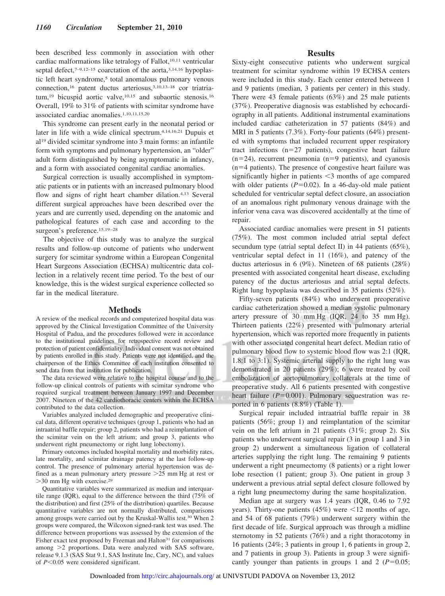been described less commonly in association with other cardiac malformations like tetralogy of Fallot,<sup>10,11</sup> ventricular septal defect, $7-9,12-15$  coarctation of the aorta, $3,14,16$  hypoplastic left heart syndrome,<sup>5</sup> total anomalous pulmonary venous connection,16 patent ductus arteriosus,3,10,13–18 cor triatriatum,<sup>19</sup> bicuspid aortic valve,<sup>10,15</sup> and subaortic stenosis.<sup>16</sup> Overall, 19% to 31% of patients with scimitar syndrome have associated cardiac anomalies.1,10,11,15,20

This syndrome can present early in the neonatal period or later in life with a wide clinical spectrum.4,14,16,21 Dupuis et al19 divided scimitar syndrome into 3 main forms: an infantile form with symptoms and pulmonary hypertension, an "older" adult form distinguished by being asymptomatic in infancy, and a form with associated congenital cardiac anomalies.

Surgical correction is usually accomplished in symptomatic patients or in patients with an increased pulmonary blood flow and signs of right heart chamber dilation.4,13 Several different surgical approaches have been described over the years and are currently used, depending on the anatomic and pathological features of each case and according to the surgeon's preference.<sup>15,19-28</sup>

The objective of this study was to analyze the surgical results and follow-up outcome of patients who underwent surgery for scimitar syndrome within a European Congenital Heart Surgeons Association (ECHSA) multicentric data collection in a relatively recent time period. To the best of our knowledge, this is the widest surgical experience collected so far in the medical literature.

#### **Methods**

A review of the medical records and computerized hospital data was approved by the Clinical Investigation Committee of the University Hospital of Padua, and the procedures followed were in accordance to the institutional guidelines for retrospective record review and protection of patient confidentiality. Individual consent was not obtained by patients enrolled in this study. Patients were not identified, and the chairperson of the Ethics Committee of each institution consented to send data from that institution for publication.

The data reviewed were relative to the hospital course and to the follow-up clinical controls of patients with scimitar syndrome who required surgical treatment between January 1997 and December 2007. Nineteen of the 42 cardiothoracic centers within the ECHSA contributed to the data collection.

Variables analyzed included demographic and preoperative clinical data, different operative techniques (group 1, patients who had an intraatrial baffle repair; group 2, patients who had a reimplantation of the scimitar vein on the left atrium; and group 3, patients who underwent right pneumectomy or right lung lobectomy).

Primary outcomes included hospital mortality and morbidity rates, late mortality, and scimitar drainage patency at the last follow-up control. The presence of pulmonary arterial hypertension was defined as a mean pulmonary artery pressure  $>25$  mm Hg at rest or >30 mm Hg with exercise.<sup>29</sup>

Quantitative variables were summarized as median and interquartile range (IQR), equal to the difference between the third (75% of the distribution) and first (25% of the distribution) quartiles. Because quantitative variables are not normally distributed, comparisons among groups were carried out by the Kruskal-Wallis test.30 When 2 groups were compared, the Wilcoxon signed-rank test was used. The difference between proportions was assessed by the extension of the Fisher exact test proposed by Freeman and Halton<sup>31</sup> for comparisons among  $>2$  proportions. Data were analyzed with SAS software, release 9.1.3 (SAS Stat 9.1, SAS Institute Inc, Cary, NC), and values of *P*-0.05 were considered significant.

#### **Results**

Sixty-eight consecutive patients who underwent surgical treatment for scimitar syndrome within 19 ECHSA centers were included in this study. Each center entered between 1 and 9 patients (median, 3 patients per center) in this study. There were 43 female patients (63%) and 25 male patients (37%). Preoperative diagnosis was established by echocardiography in all patients. Additional instrumental examinations included cardiac catheterization in 57 patients (84%) and MRI in 5 patients (7.3%). Forty-four patients (64%) presented with symptoms that included recurrent upper respiratory tract infections  $(n=27$  patients), congestive heart failure  $(n=24)$ , recurrent pneumonia  $(n=9$  patients), and cyanosis  $(n=4$  patients). The presence of congestive heart failure was significantly higher in patients  $\leq$ 3 months of age compared with older patients  $(P=0.02)$ . In a 46-day-old male patient scheduled for ventricular septal defect closure, an association of an anomalous right pulmonary venous drainage with the inferior vena cava was discovered accidentally at the time of repair.

Associated cardiac anomalies were present in 51 patients (75%). The most common included atrial septal defect secundum type (atrial septal defect II) in 44 patients (65%), ventricular septal defect in 11 (16%), and patency of the ductus arteriosus in 6 (9%). Nineteen of 68 patients (28%) presented with associated congenital heart disease, excluding patency of the ductus arteriosus and atrial septal defects. Right lung hypoplasia was described in 35 patients (52%).

Fifty-seven patients (84%) who underwent preoperative cardiac catheterization showed a median systolic pulmonary artery pressure of 30 mm Hg (IQR, 24 to 35 mm Hg). Thirteen patients (22%) presented with pulmonary arterial hypertension, which was reported more frequently in patients with other associated congenital heart defect. Median ratio of pulmonary blood flow to systemic blood flow was 2:1 (IQR, 1.8:1 to 3:1). Systemic arterial supply to the right lung was demonstrated in 20 patients (29%); 6 were treated by coil embolization of aortopulmonary collaterals at the time of preoperative study. All 6 patients presented with congestive heart failure  $(P=0.001)$ . Pulmonary sequestration was reported in 6 patients (8.8%) (Table 1).

Surgical repair included intraatrial baffle repair in 38 patients (56%; group 1) and reimplantation of the scimitar vein on the left atrium in 21 patients (31%; group 2). Six patients who underwent surgical repair (3 in group 1 and 3 in group 2) underwent a simultaneous ligation of collateral arteries supplying the right lung. The remaining 9 patients underwent a right pneumectomy (8 patients) or a right lower lobe resection (1 patient; group 3). One patient in group 3 underwent a previous atrial septal defect closure followed by a right lung pneumectomy during the same hospitalization.

Median age at surgery was 1.4 years (IQR, 0.46 to 7.92 years). Thirty-one patients  $(45%)$  were  $\leq 12$  months of age, and 54 of 68 patients (79%) underwent surgery within the first decade of life. Surgical approach was through a midline sternotomy in 52 patients (76%) and a right thoracotomy in 16 patients (24%; 3 patients in group 1, 6 patients in group 2, and 7 patients in group 3). Patients in group 3 were significantly younger than patients in groups 1 and 2 ( $P=0.05$ ;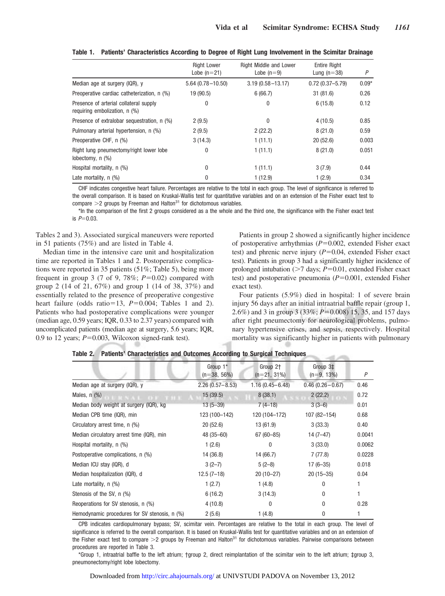|                                                                         | <b>Right Lower</b><br>Lobe $(n=21)$ | <b>Right Middle and Lower</b><br>Lobe $(n=9)$ | <b>Entire Right</b><br>Lung $(n=38)$ | P       |
|-------------------------------------------------------------------------|-------------------------------------|-----------------------------------------------|--------------------------------------|---------|
| Median age at surgery (IQR), y                                          | $5.64(0.78 - 10.50)$                | $3.19(0.58 - 13.17)$                          | $0.72(0.37 - 5.79)$                  | $0.09*$ |
| Preoperative cardiac catheterization, n (%)                             | 19 (90.5)                           | 6(66.7)                                       | 31(81.6)                             | 0.26    |
| Presence of arterial collateral supply<br>requiring embolization, n (%) | 0                                   | 0                                             | 6(15.8)                              | 0.12    |
| Presence of extralobar sequestration, n (%)                             | 2(9.5)                              | 0                                             | 4(10.5)                              | 0.85    |
| Pulmonary arterial hypertension, n (%)                                  | 2(9.5)                              | 2(22.2)                                       | 8(21.0)                              | 0.59    |
| Preoperative CHF, n (%)                                                 | 3(14.3)                             | 1(11.1)                                       | 20(52.6)                             | 0.003   |
| Right lung pneumectomy/right lower lobe<br>lobectomy, $n$ $(\%)$        | 0                                   | 1(11.1)                                       | 8(21.0)                              | 0.051   |
| Hospital mortality, n (%)                                               | 0                                   | 1(11.1)                                       | 3(7.9)                               | 0.44    |
| Late mortality, n (%)                                                   | 0                                   | 1(12.9)                                       | 1(2.9)                               | 0.34    |

**Table 1. Patients' Characteristics According to Degree of Right Lung Involvement in the Scimitar Drainage**

CHF indicates congestive heart failure. Percentages are relative to the total in each group. The level of significance is referred to the overall comparison. It is based on Kruskal-Wallis test for quantitative variables and on an extension of the Fisher exact test to compare  $>$ 2 groups by Freeman and Halton<sup>31</sup> for dichotomous variables.

\*In the comparison of the first 2 groups considered as a the whole and the third one, the significance with the Fisher exact test is  $P=0.03$ .

Tables 2 and 3). Associated surgical maneuvers were reported in 51 patients (75%) and are listed in Table 4.

Median time in the intensive care unit and hospitalization time are reported in Tables 1 and 2. Postoperative complications were reported in 35 patients (51%; Table 5), being more frequent in group 3 (7 of 9, 78%;  $P=0.02$ ) compared with group 2 (14 of 21, 67%) and group 1 (14 of 38, 37%) and essentially related to the presence of preoperative congestive heart failure (odds ratio=13,  $P=0.004$ ; Tables 1 and 2). Patients who had postoperative complications were younger (median age, 0.59 years; IQR, 0.33 to 2.37 years) compared with uncomplicated patients (median age at surgery, 5.6 years; IQR, 0.9 to 12 years;  $P=0.003$ , Wilcoxon signed-rank test).

Patients in group 2 showed a significantly higher incidence of postoperative arrhythmias  $(P=0.002$ , extended Fisher exact test) and phrenic nerve injury  $(P=0.04$ , extended Fisher exact test). Patients in group 3 had a significantly higher incidence of prolonged intubation  $($ 7 days;  $P$ =0.01, extended Fisher exact test) and postoperative pneumonia  $(P=0.001$ , extended Fisher exact test).

Four patients (5.9%) died in hospital: 1 of severe brain injury 56 days after an initial intraatrial baffle repair (group 1, 2.6%) and 3 in group 3 (33%; *P*=0.008) 15, 35, and 157 days after right pneumectomy for neurological problems, pulmonary hypertensive crises, and sepsis, respectively. Hospital mortality was significantly higher in patients with pulmonary

|                                               | Group 1*<br>$(n=38, 56\%)$ | Group 2 <sup>+</sup><br>$(n=21, 31\%)$ | Group $3±$<br>$(n=9, 13\%)$ | $\boldsymbol{P}$ |
|-----------------------------------------------|----------------------------|----------------------------------------|-----------------------------|------------------|
| Median age at surgery (IQR), y                | $2.26(0.57 - 8.53)$        | $1.16(0.45 - 6.48)$                    | $0.46(0.26 - 0.67)$         | 0.46             |
| Males, $n$ $(\%)$                             | 15(39.5)                   | 8(38.1)                                | 2(22.2)                     | 0.72             |
| Median body weight at surgery (IQR), kg       | $13(5 - 39)$               | $7(4-18)$                              | $3(3-6)$                    | 0.01             |
| Median CPB time (IQR), min                    | 123 (100-142)              | 120 (104-172)                          | 107 (82-154)                | 0.68             |
| Circulatory arrest time, n (%)                | 20(52.6)                   | 13 (61.9)                              | 3(33.3)                     | 0.40             |
| Median circulatory arrest time (IQR), min     | $48(35 - 60)$              | $67(60 - 85)$                          | 14 (7–47)                   | 0.0041           |
| Hospital mortality, n (%)                     | 1(2.6)                     | 0                                      | 3(33.0)                     | 0.0062           |
| Postoperative complications, n (%)            | 14 (36.8)                  | 14 (66.7)                              | 7(77.8)                     | 0.0228           |
| Median ICU stay (IQR), d                      | $3(2-7)$                   | $5(2-8)$                               | $17(6-35)$                  | 0.018            |
| Median hospitalization (IQR), d               | $12.5(7-18)$               | $20(10-27)$                            | $20(15-35)$                 | 0.04             |
| Late mortality, $n$ (%)                       | 1(2.7)                     | 1(4.8)                                 | 0                           |                  |
| Stenosis of the SV, n (%)                     | 6(16.2)                    | 3(14.3)                                | 0                           |                  |
| Reoperations for SV stenosis, n (%)           | 4(10.8)                    | 0                                      | 0                           | 0.28             |
| Hemodynamic procedures for SV stenosis, n (%) | 2(5.6)                     | 1(4.8)                                 | 0                           |                  |

**Table 2. Patients' Characteristics and Outcomes According to Surgical Techniques**

CPB indicates cardiopulmonary bypass; SV, scimitar vein. Percentages are relative to the total in each group. The level of significance is referred to the overall comparison. It is based on Kruskal-Wallis test for quantitative variables and on an extension of the Fisher exact test to compare  $>2$  groups by Freeman and Halton<sup>31</sup> for dichotomous variables. Pairwise comparisons between procedures are reported in Table 3.

\*Group 1, intraatrial baffle to the left atrium; †group 2, direct reimplantation of the scimitar vein to the left atrium; ‡group 3, pneumonectomy/right lobe lobectomy.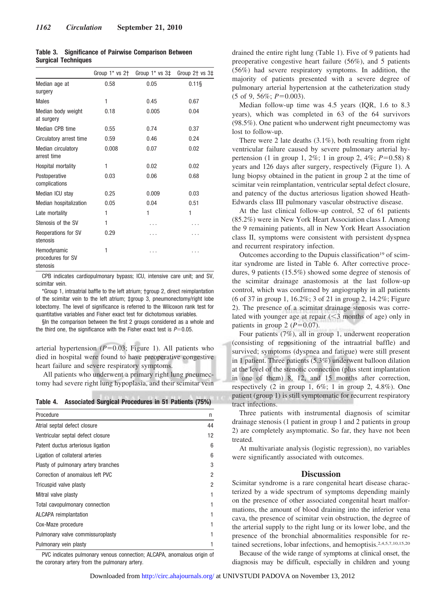| Table 3. Significance of Pairwise Comparison Between |  |  |
|------------------------------------------------------|--|--|
| <b>Surgical Techniques</b>                           |  |  |

|                                              | Group $1$ <sup>*</sup> vs $2$ <sup>+</sup> | Group $1$ <sup>*</sup> vs $3\ddagger$ | Group $2+$ vs $3+$ |
|----------------------------------------------|--------------------------------------------|---------------------------------------|--------------------|
| Median age at<br>surgery                     | 0.58                                       | 0.05                                  | $0.11$ §           |
| <b>Males</b>                                 | 1                                          | 0.45                                  | 0.67               |
| Median body weight<br>at surgery             | 0.18                                       | 0.005                                 | 0.04               |
| Median CPB time                              | 0.55                                       | 0.74                                  | 0.37               |
| Circulatory arrest time                      | 0.59                                       | 0.46                                  | 0.24               |
| Median circulatory<br>arrest time            | 0.008                                      | 0.07                                  | 0.02               |
| Hospital mortality                           | 1                                          | 0.02                                  | 0.02               |
| Postoperative<br>complications               | 0.03                                       | 0.06                                  | 0.68               |
| Median ICU stay                              | 0.25                                       | 0.009                                 | 0.03               |
| Median hospitalization                       | 0.05                                       | 0.04                                  | 0.51               |
| Late mortality                               | 1                                          | 1                                     | 1                  |
| Stenosis of the SV                           | 1                                          | .                                     |                    |
| Reoperations for SV<br>stenosis              | 0.29                                       |                                       |                    |
| Hemodynamic<br>procedures for SV<br>stenosis | 1                                          | .                                     |                    |

CPB indicates cardiopulmonary bypass; ICU, intensive care unit; and SV, scimitar vein.

\*Group 1, intraatrial baffle to the left atrium; †group 2, direct reimplantation of the scimitar vein to the left atrium; ‡group 3, pneumonectomy/right lobe lobectomy. The level of significance is referred to the Wilcoxon rank test for quantitative variables and Fisher exact test for dichotomous variables.

§In the comparison between the first 2 groups considered as a whole and the third one, the significance with the Fisher exact test is  $P=0.05$ .

arterial hypertension  $(P=0.03;$  Figure 1). All patients who died in hospital were found to have preoperative congestive heart failure and severe respiratory symptoms.

All patients who underwent a primary right lung pneumectomy had severe right lung hypoplasia, and their scimitar vein

| Table 4. Associated Surgical Procedures in 51 Patients (75%) |  |  |
|--------------------------------------------------------------|--|--|
|                                                              |  |  |

| Procedure                           | n  |
|-------------------------------------|----|
| Atrial septal defect closure        | 44 |
| Ventricular septal defect closure   | 12 |
| Patent ductus arteriosus ligation   | 6  |
| Ligation of collateral arteries     | 6  |
| Plasty of pulmonary artery branches | 3  |
| Correction of anomalous left PVC    | 2  |
| Tricuspid valve plasty              | 2  |
| Mitral valve plasty                 |    |
| Total cavopulmonary connection      |    |
| ALCAPA reimplantation               |    |
| Cox-Maze procedure                  |    |
| Pulmonary valve commissuroplasty    |    |
| Pulmonary vein plasty               |    |

PVC indicates pulmonary venous connection; ALCAPA, anomalous origin of the coronary artery from the pulmonary artery.

drained the entire right lung (Table 1). Five of 9 patients had preoperative congestive heart failure (56%), and 5 patients (56%) had severe respiratory symptoms. In addition, the majority of patients presented with a severe degree of pulmonary arterial hypertension at the catheterization study  $(5 \text{ of } 9, 56\%; P=0.003).$ 

Median follow-up time was 4.5 years (IQR, 1.6 to 8.3 years), which was completed in 63 of the 64 survivors (98.5%). One patient who underwent right pneumectomy was lost to follow-up.

There were 2 late deaths (3.1%), both resulting from right ventricular failure caused by severe pulmonary arterial hypertension (1 in group 1, 2%; 1 in group 2, 4%;  $P=0.58$ ) 8 years and 126 days after surgery, respectively (Figure 1). A lung biopsy obtained in the patient in group 2 at the time of scimitar vein reimplantation, ventricular septal defect closure, and patency of the ductus arteriosus ligation showed Heath-Edwards class III pulmonary vascular obstructive disease.

At the last clinical follow-up control, 52 of 61 patients (85.2%) were in New York Heart Association class I. Among the 9 remaining patients, all in New York Heart Association class II, symptoms were consistent with persistent dyspnea and recurrent respiratory infection.

Outcomes according to the Dupuis classification<sup>19</sup> of scimitar syndrome are listed in Table 6. After corrective procedures, 9 patients (15.5%) showed some degree of stenosis of the scimitar drainage anastomosis at the last follow-up control, which was confirmed by angiography in all patients (6 of 37 in group 1, 16.2%; 3 of 21 in group 2, 14.2%; Figure 2). The presence of a scimitar drainage stenosis was correlated with younger age at repair  $(<$ 3 months of age) only in patients in group 2  $(P=0.07)$ .

Four patients (7%), all in group 1, underwent reoperation (consisting of repositioning of the intraatrial baffle) and survived; symptoms (dyspnea and fatigue) were still present in 1 patient. Three patients (5.3%) underwent balloon dilation at the level of the stenotic connection (plus stent implantation in one of them) 8, 12, and 15 months after correction, respectively (2 in group 1, 6%; 1 in group 2, 4.8%). One patient (group 1) is still symptomatic for recurrent respiratory tract infections.

Three patients with instrumental diagnosis of scimitar drainage stenosis (1 patient in group 1 and 2 patients in group 2) are completely asymptomatic. So far, they have not been treated.

At multivariate analysis (logistic regression), no variables were significantly associated with outcomes.

#### **Discussion**

Scimitar syndrome is a rare congenital heart disease characterized by a wide spectrum of symptoms depending mainly on the presence of other associated congenital heart malformations, the amount of blood draining into the inferior vena cava, the presence of scimitar vein obstruction, the degree of the arterial supply to the right lung or its lower lobe, and the presence of the bronchial abnormalities responsible for retained secretions, lobar infections, and hemoptisis.2,4,5,7,10,15,20

Because of the wide range of symptoms at clinical onset, the diagnosis may be difficult, especially in children and young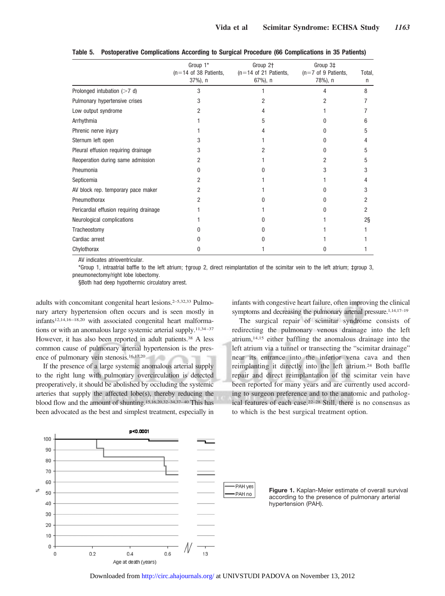|                                         | Group 1*<br>$(n=14$ of 38 Patients,<br>$37\%$ ), n | Group 2 <sup>+</sup><br>$(n=14$ of 21 Patients,<br>$67\%$ ), n | Group 3‡<br>$(n=7$ of 9 Patients,<br>78%), n | Total,<br>n |
|-----------------------------------------|----------------------------------------------------|----------------------------------------------------------------|----------------------------------------------|-------------|
| Prolonged intubation (>7 d)             | 3                                                  |                                                                | 4                                            | 8           |
| Pulmonary hypertensive crises           | 3                                                  | 2                                                              | 2                                            |             |
| Low output syndrome                     | 2                                                  |                                                                |                                              |             |
| Arrhythmia                              |                                                    | 5                                                              |                                              | 6           |
| Phrenic nerve injury                    |                                                    |                                                                |                                              | 5           |
| Sternum left open                       | 3                                                  |                                                                | n                                            | 4           |
| Pleural effusion requiring drainage     | 3                                                  |                                                                | n                                            | 5           |
| Reoperation during same admission       | 2                                                  |                                                                | 2                                            | 5           |
| Pneumonia                               | 0                                                  |                                                                | 3                                            | 3           |
| Septicemia                              | 2                                                  |                                                                |                                              | 4           |
| AV block rep. temporary pace maker      | 2                                                  |                                                                | n                                            | 3           |
| Pneumothorax                            | 2                                                  |                                                                |                                              | 2           |
| Pericardial effusion requiring drainage |                                                    |                                                                |                                              | 2           |
| Neurological complications              |                                                    |                                                                |                                              | $2\S$       |
| Tracheostomy                            | n                                                  | n                                                              |                                              |             |
| Cardiac arrest                          |                                                    |                                                                |                                              |             |
| Chylothorax                             | O                                                  |                                                                |                                              |             |

**Table 5. Postoperative Complications According to Surgical Procedure (66 Complications in 35 Patients)**

AV indicates atrioventricular.

\*Group 1, intraatrial baffle to the left atrium; †group 2, direct reimplantation of the scimitar vein to the left atrium; ‡group 3, pneumonectomy/right lobe lobectomy.

§Both had deep hypothermic circulatory arrest.

adults with concomitant congenital heart lesions.2–5,32,33 Pulmonary artery hypertension often occurs and is seen mostly in infants12,14,16 –18,20 with associated congenital heart malformations or with an anomalous large systemic arterial supply.<sup>11,34-37</sup> However, it has also been reported in adult patients.<sup>38</sup> A less common cause of pulmonary arterial hypertension is the presence of pulmonary vein stenosis.<sup>16,17,20</sup>

If the presence of a large systemic anomalous arterial supply to the right lung with pulmonary overcirculation is detected preoperatively, it should be abolished by occluding the systemic arteries that supply the affected lobe(s), thereby reducing the blood flow and the amount of shunting.15,16,20,32–34,37– 40 This has been advocated as the best and simplest treatment, especially in

infants with congestive heart failure, often improving the clinical symptoms and decreasing the pulmonary arterial pressure.<sup>1,14,17–19</sup>

The surgical repair of scimitar syndrome consists of redirecting the pulmonary venous drainage into the left atrium,14,15 either baffling the anomalous drainage into the left atrium via a tunnel or transecting the "scimitar drainage" near its entrance into the inferior vena cava and then reimplanting it directly into the left atrium.24 Both baffle repair and direct reimplantation of the scimitar vein have been reported for many years and are currently used according to surgeon preference and to the anatomic and pathological features of each case.22–28 Still, there is no consensus as to which is the best surgical treatment option.



**Figure 1.** Kaplan-Meier estimate of overall survival according to the presence of pulmonary arterial hypertension (PAH).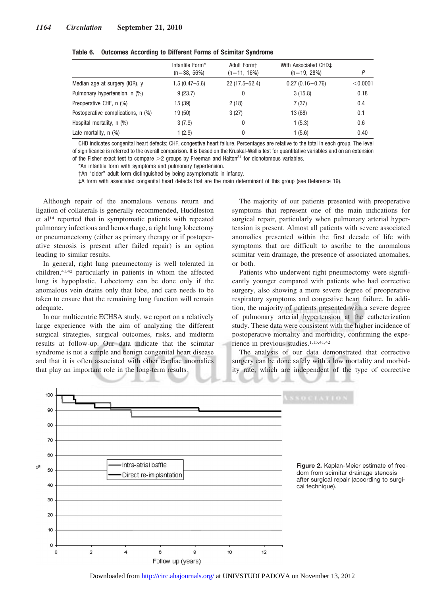|                                    | Infantile Form*<br>$(n=38, 56\%)$ | Adult Form+<br>$(n=11, 16\%)$ | With Associated CHD‡<br>$(n=19, 28\%)$ | Ρ        |
|------------------------------------|-----------------------------------|-------------------------------|----------------------------------------|----------|
| Median age at surgery (IQR), y     | $1.5(0.47 - 5.6)$                 | 22 (17.5–52.4)                | $0.27(0.16 - 0.76)$                    | < 0.0001 |
| Pulmonary hypertension, n (%)      | 9(23.7)                           | 0                             | 3(15.8)                                | 0.18     |
| Preoperative CHF, n (%)            | 15 (39)                           | 2(18)                         | 7(37)                                  | 0.4      |
| Postoperative complications, n (%) | 19 (50)                           | 3(27)                         | 13 (68)                                | 0.1      |
| Hospital mortality, n (%)          | 3(7.9)                            | 0                             | 1(5.3)                                 | 0.6      |
| Late mortality, n (%)              | 1(2.9)                            | 0                             | 1(5.6)                                 | 0.40     |

**Table 6. Outcomes According to Different Forms of Scimitar Syndrome**

CHD indicates congenital heart defects; CHF, congestive heart failure. Percentages are relative to the total in each group. The level of significance is referred to the overall comparison. It is based on the Kruskal-Wallis test for quantitative variables and on an extension of the Fisher exact test to compare  $>2$  groups by Freeman and Halton<sup>31</sup> for dichotomous variables.

\*An infantile form with symptoms and pulmonary hypertension.

†An "older" adult form distinguished by being asymptomatic in infancy.

‡A form with associated congenital heart defects that are the main determinant of this group (see Reference 19).

Although repair of the anomalous venous return and ligation of collaterals is generally recommended, Huddleston et al14 reported that in symptomatic patients with repeated pulmonary infections and hemorrhage, a right lung lobectomy or pneumonectomy (either as primary therapy or if postoperative stenosis is present after failed repair) is an option leading to similar results.

In general, right lung pneumectomy is well tolerated in children,41,42 particularly in patients in whom the affected lung is hypoplastic. Lobectomy can be done only if the anomalous vein drains only that lobe, and care needs to be taken to ensure that the remaining lung function will remain adequate.

In our multicentric ECHSA study, we report on a relatively large experience with the aim of analyzing the different surgical strategies, surgical outcomes, risks, and midterm results at follow-up. Our data indicate that the scimitar syndrome is not a simple and benign congenital heart disease and that it is often associated with other cardiac anomalies that play an important role in the long-term results.

The majority of our patients presented with preoperative symptoms that represent one of the main indications for surgical repair, particularly when pulmonary arterial hypertension is present. Almost all patients with severe associated anomalies presented within the first decade of life with symptoms that are difficult to ascribe to the anomalous scimitar vein drainage, the presence of associated anomalies, or both.

Patients who underwent right pneumectomy were significantly younger compared with patients who had corrective surgery, also showing a more severe degree of preoperative respiratory symptoms and congestive heart failure. In addition, the majority of patients presented with a severe degree of pulmonary arterial hypertension at the catheterization study. These data were consistent with the higher incidence of postoperative mortality and morbidity, confirming the experience in previous studies.<sup>1,15,41,42</sup>

The analysis of our data demonstrated that corrective surgery can be done safely with a low mortality and morbidity rate, which are independent of the type of corrective

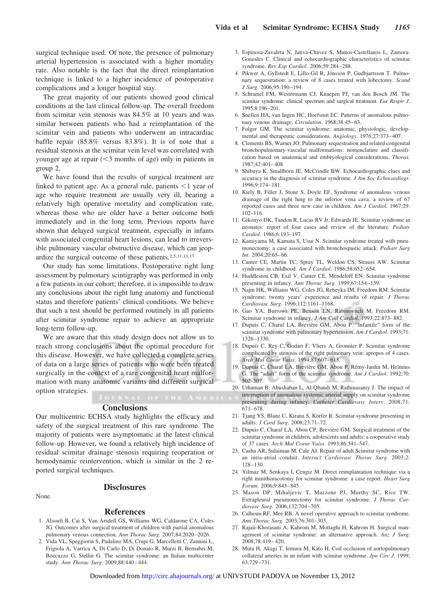surgical technique used. Of note, the presence of pulmonary arterial hypertension is associated with a higher mortality rate. Also notable is the fact that the direct reimplantation technique is linked to a higher incidence of postoperative complications and a longer hospital stay.

The great majority of our patients showed good clinical conditions at the last clinical follow-up. The overall freedom from scimitar vein stenosis was 84.5% at 10 years and was similar between patients who had a reimplantation of the scimitar vein and patients who underwent an intracardiac baffle repair (85.8% versus 83.8%). It is of note that a residual stenosis at the scimitar vein level was correlated with younger age at repair  $(< 3$  months of age) only in patients in group 2.

We have found that the results of surgical treatment are linked to patient age. As a general rule, patients  $\leq 1$  year of age who require treatment are usually very ill, bearing a relatively high operative mortality and complication rate, whereas those who are older have a better outcome both immediately and in the long term. Previous reports have shown that delayed surgical treatment, especially in infants with associated congenital heart lesions, can lead to irreversible pulmonary vascular obstructive disease, which can jeopardize the surgical outcome of these patients.2,5,11,13,17

Our study has some limitations. Postoperative right lung assessment by pulmonary scintigraphy was performed in only a few patients in our cohort; therefore, it is impossible to draw any conclusions about the right lung anatomy and functional status and therefore patients' clinical conditions. We believe that such a test should be performed routinely in all patients after scimitar syndrome repair to achieve an appropriate long-term follow-up.

We are aware that this study design does not allow us to reach strong conclusions about the optimal procedure for this disease. However, we have collected a complete series of data on a large series of patients who were been treated surgically in the context of a rare congenital heart malformation with many anatomic variants and different surgical option strategies.

#### **Conclusions**

Our multicentric ECHSA study highlights the efficacy and safety of the surgical treatment of this rare syndrome. The majority of patients were asymptomatic at the latest clinical follow-up. However, we found a relatively high incidence of residual scimitar drainage stenosis requiring reoperation or hemodynamic reintervention, which is similar in the 2 reported surgical techniques.

None.

**Disclosures**

- **References**
- 1. Alsoufi B, Cai S, Van Arsdell GS, Williams WG, Caldarone CA, Coles JG. Outcomes after surgical treatment of children with partial anomalous pulmonary venous connection. *Ann Thorac Surg*. 2007;84:2020 –2026.
- 2. Vida VL, Speggiorin S, Padalino MA, Crupi G, Marcelletti C, Zannini L, Frigiola A, Varrica A, Di Carlo D, Di Donato R, Murzi B, Bernabei M, Boccuzzo G, Stellin G. The scimitar syndrome: an Italian multicenter study. *Ann Thorac Surg*. 2009;88:440 – 444.
- 3. Espinosa-Zavaleta N, Jativa-Chavez S, Munos-Castellanos L, Zamora-Gonzales C. Clinical and echocardiographic characteristics of scimitar syndrome. *Rev Esp Cardiol*. 2006;59:284 –288.
- 4. Pikwer A, Gyllstedt E, Lillo-Gil R, Jönsson P, Gudbjartsson T. Pulmonary sequestration: a review of 8 cases treated with lobectomy. *Scand J Surg*. 2006;95:190 –194.
- 5. Schramel FM, Westermann CJ, Knaepen PJ, van den Bosch JM. The scimitar syndrome: clinical spectrum and surgical treatment. *Eur Respir J*. 1995;8:196 –201.
- 6. Snellen HA, van Ingen HC, Hoefsmit EC. Patterns of anomalous pulmonary venous drainage. *Circulation*. 1968;38:45-63.
- 7. Folger GM. The scimitar syndrome: anatomic, physiologic, developmental and therapeutic considerations. *Angiology*. 1976;27:373– 407.
- 8. Clements BS, Warner JO. Pulmonary sequestration and related congenital bronchopulmonary-vascular malformations: nomenclature and classification based on anatomical and embryological considerations. *Thorax*. 1987;42:401– 408.
- 9. Shibuya K, Smallhorn JE, McCrindle BW. Echocardiographic clues and accuracy in the diagnosis of scimitar syndrome. *J Am Soc Echocardiogr*. 1996;9:174 –181.
- 10. Kiely B, Filler J, Stone S, Doyle EF. Syndrome of anomalous venous drainage of the right lung to the inferior vena cava: a review of 67 reported cases and three new case in children. *Am J Cardiol*. 1967;29: 102–116.
- 11. Gikonyo DK, Tandon R, Lucas RV Jr, Edwards JE. Scimitar syndrome in neonates: report of four cases and review of the literature. *Pediatr Cardiol*. 1986;6:193–197.
- 12. Kamiyama M, Kamata S, Usui N. Scimitar syndrome treated with pneumonectomy: a case associated with bronchospastic attack. *Pediatr Surg Int*. 2004;20:65– 66.
- 13. Canter CE, Martin TC, Spray TL, Weldon CS, Strauss AW. Scimitar syndrome in childhood. *Am J Cardiol*. 1986;58:652– 654.
- 14. Huddleston CB, Exil V, Canter CE, Mendeloff EN. Scimitar syndrome presenting in infancy. *Ann Thorac Surg*. 1999;67:154 –159.
- 15. Najm HK, Williams WG, Coles JG, Rebeyka IM, Freedom RM. Scimitar syndrome: twenty years' experience and results of repair. *J Thorac Cardiovasc Surg*. 1996;112:1161–1168.
- 16. Gao YA, Burrows PE, Benson LN, Rabinovitch M, Freedom RM. Scimitar syndrome in infancy. *J Am Coll Cardiol*. 1993;22:873– 882.
- 17. Dupuis C, Charaf LA, Brevière GM, Abou P. "Infantile" form of the scimitar syndrome with pulmonary hypertension. *Am J Cardiol*. 1993;71: 1326 –1330.
- 18. Dupuis C, Rey C, Godart F, Vliers A, Gronnier P. Scimitar syndrome complicated by stenosis of the right pulmonary vein: apropos of 4 cases. *Arch Mal Coeur Vaiss*. 1994;87:607– 613.
- 19. Dupuis C, Charaf LA, Brevière GM, Abou P, Rémy-Jardin M, Helmius G. The "adult" form of the scimitar syndrome. *Am J Cardiol*. 1992;70: 502–507.
- 20. Uthaman B, Abushaban L, Al-Qbandi M, Rathinasamy J. The impact of interruption of anomalous systemic arterial supply on scimitar syndrome presenting during infancy. *Catheter Cardiovasc Interv*. 2008;71: 671– 678.
- 21. Tjang YS, Blanz U, Kirana S, Körfer R. Scimitar syndrome presenting in adults. *J Card Surg*. 2008;23:71–72.
- 22. Dupuis C, Charaf LA, Abou CP, Brevière GM. Surgical treatment of the scimitar syndrome in children, adolescents and adults: a cooperative study of 37 cases. *Arch Mal Coeur Vaiss*. 1993;86:541–547.
- 23. Casha AR, Sulaiman M, Cale AJ. Repair of adult Scimitar syndrome with an intra-atrial conduit. *Interact Cardiovasc Thorac Surg*. 2003;2: 128 –130.
- 24. Yilmaz M, Senkaya I, Cengiz M. Direct reimplantation technique via a right minithoracotomy for scimitar syndrome: a case report. *Heart Surg Forum*. 2006;9:843– 845.
- 25. Mason DP, Mihaljevic T, Mazzone PJ, Murthy SC, Rice TW. Extrapleural pneumonectomy for scimitar syndrome. *J Thorac Cardiovasc Surg*. 2006;132:704 –705.
- 26. Calhoun RF, Mee RB. A novel operative approach to scimitar syndrome. *Ann Thorac Surg*. 2003;76:301–303.
- 27. Rajaii-Khorasani A, Kahrom M, Mottaghi H, Kahrom H. Surgical management of scimitar syndrome: an alternative approach. *Anz J Surg*. 2008;78:419 – 420.
- 28. Muta H, Akagi T, Iemura M, Kato H. Coil occlusion of aortopulmonary collateral arteries in an infant with scimitar syndrome. *Jpn Circ J*. 1999; 63:729 –731.